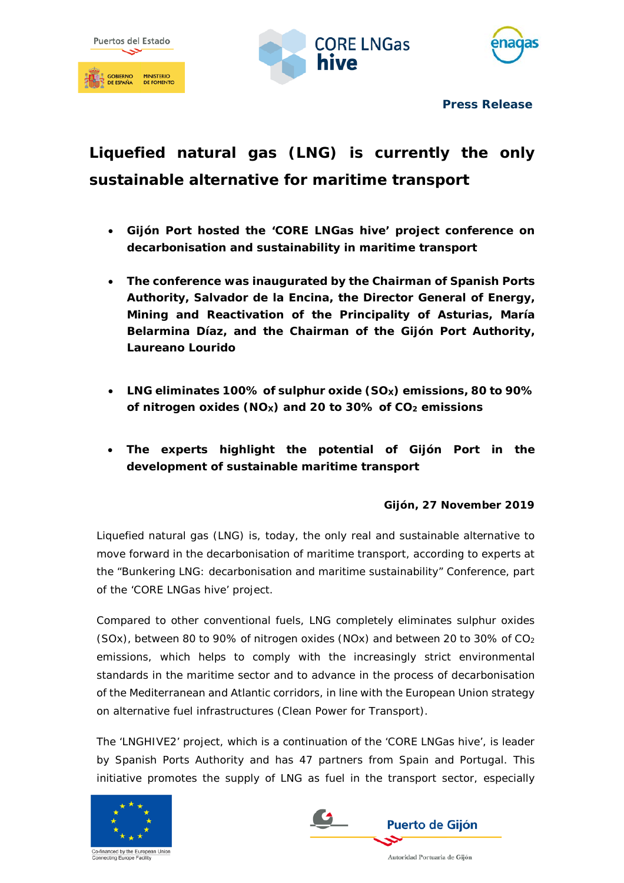





**Press Release**

# **Liquefied natural gas (LNG) is currently the only sustainable alternative for maritime transport**

- **Gijón Port hosted the 'CORE LNGas hive' project conference on decarbonisation and sustainability in maritime transport**
- **The conference was inaugurated by the Chairman of Spanish Ports Authority, Salvador de la Encina, the Director General of Energy, Mining and Reactivation of the Principality of Asturias, María Belarmina Díaz, and the Chairman of the Gijón Port Authority, Laureano Lourido**
- **LNG eliminates 100% of sulphur oxide (SOX) emissions, 80 to 90% of nitrogen oxides (NOX) and 20 to 30% of CO2 emissions**
- **The experts highlight the potential of Gijón Port in the development of sustainable maritime transport**

## **Gijón, 27 November 2019**

Liquefied natural gas (LNG) is, today, the only real and sustainable alternative to move forward in the decarbonisation of maritime transport, according to experts at the "Bunkering LNG: decarbonisation and maritime sustainability" Conference, part of the 'CORE LNGas hive' project.

Compared to other conventional fuels, LNG completely eliminates sulphur oxides (SOx), between 80 to 90% of nitrogen oxides (NOx) and between 20 to 30% of  $CO<sub>2</sub>$ emissions, which helps to comply with the increasingly strict environmental standards in the maritime sector and to advance in the process of decarbonisation of the Mediterranean and Atlantic corridors, in line with the European Union strategy on alternative fuel infrastructures (Clean Power for Transport).

The 'LNGHIVE2' project, which is a continuation of the 'CORE LNGas hive', is leader by Spanish Ports Authority and has 47 partners from Spain and Portugal. This initiative promotes the supply of LNG as fuel in the transport sector, especially





Autoridad Portuaria de Gijón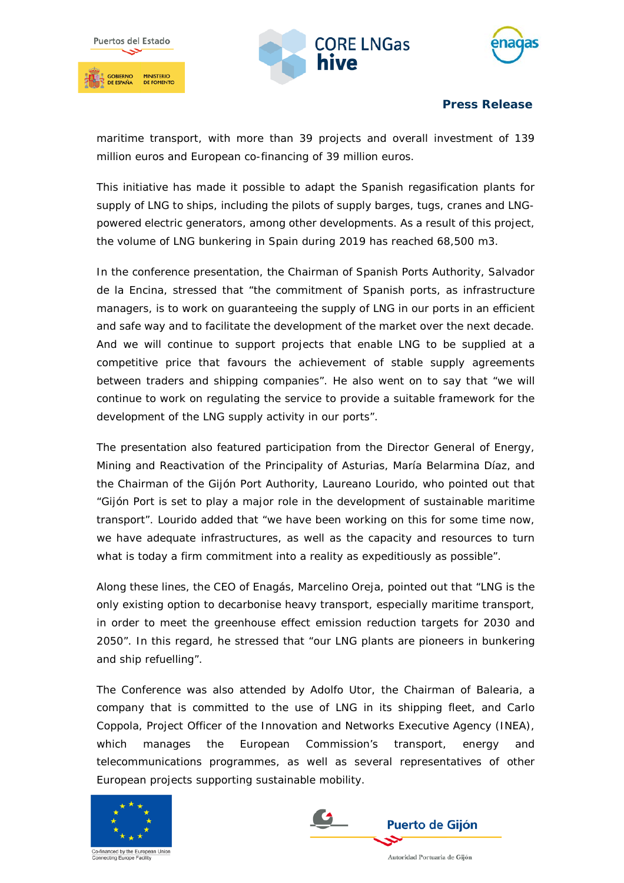





**Press Release**

maritime transport, with more than 39 projects and overall investment of 139 million euros and European co-financing of 39 million euros.

This initiative has made it possible to adapt the Spanish regasification plants for supply of LNG to ships, including the pilots of supply barges, tugs, cranes and LNGpowered electric generators, among other developments. As a result of this project, the volume of LNG bunkering in Spain during 2019 has reached 68,500 m3.

In the conference presentation, the Chairman of Spanish Ports Authority, Salvador de la Encina, stressed that "the commitment of Spanish ports, as infrastructure managers, is to work on guaranteeing the supply of LNG in our ports in an efficient and safe way and to facilitate the development of the market over the next decade. And we will continue to support projects that enable LNG to be supplied at a competitive price that favours the achievement of stable supply agreements between traders and shipping companies". He also went on to say that "we will continue to work on regulating the service to provide a suitable framework for the development of the LNG supply activity in our ports".

The presentation also featured participation from the Director General of Energy, Mining and Reactivation of the Principality of Asturias, María Belarmina Díaz, and the Chairman of the Gijón Port Authority, Laureano Lourido, who pointed out that "Gijón Port is set to play a major role in the development of sustainable maritime transport". Lourido added that "we have been working on this for some time now, we have adequate infrastructures, as well as the capacity and resources to turn what is today a firm commitment into a reality as expeditiously as possible".

Along these lines, the CEO of Enagás, Marcelino Oreja, pointed out that "LNG is the only existing option to decarbonise heavy transport, especially maritime transport, in order to meet the greenhouse effect emission reduction targets for 2030 and 2050". In this regard, he stressed that "our LNG plants are pioneers in bunkering and ship refuelling".

The Conference was also attended by Adolfo Utor, the Chairman of Balearia, a company that is committed to the use of LNG in its shipping fleet, and Carlo Coppola, Project Officer of the Innovation and Networks Executive Agency (INEA), which manages the European Commission's transport, energy and telecommunications programmes, as well as several representatives of other European projects supporting sustainable mobility.





Autoridad Portuaria de Gijón